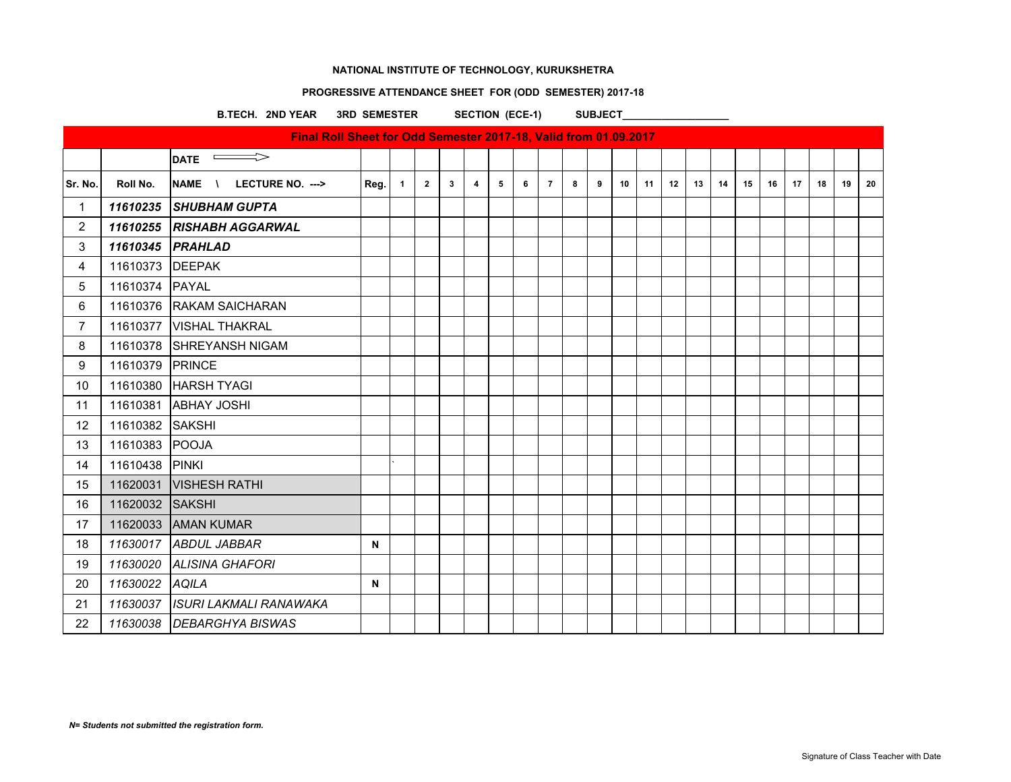# **PROGRESSIVE ATTENDANCE SHEET FOR (ODD SEMESTER) 2017-18**

B.TECH. 2ND YEAR 3RD SEMESTER SECTION (ECE-1) SUBJECT\_

|                |                 | Final Roll Sheet for Odd Semester 2017-18, Valid from 01.09.2017 |      |                |                |              |                         |   |   |                |   |   |    |    |    |    |    |    |    |    |    |    |    |
|----------------|-----------------|------------------------------------------------------------------|------|----------------|----------------|--------------|-------------------------|---|---|----------------|---|---|----|----|----|----|----|----|----|----|----|----|----|
|                |                 | $\qquad \qquad \Longrightarrow$<br><b>DATE</b>                   |      |                |                |              |                         |   |   |                |   |   |    |    |    |    |    |    |    |    |    |    |    |
| Sr. No.        | Roll No.        | NAME \ LECTURE NO. --->                                          | Reg. | $\blacksquare$ | $\overline{2}$ | $\mathbf{3}$ | $\overline{\mathbf{4}}$ | 5 | 6 | $\overline{7}$ | 8 | 9 | 10 | 11 | 12 | 13 | 14 | 15 | 16 | 17 | 18 | 19 | 20 |
| $\mathbf{1}$   |                 | 11610235 SHUBHAM GUPTA                                           |      |                |                |              |                         |   |   |                |   |   |    |    |    |    |    |    |    |    |    |    |    |
| $\overline{2}$ |                 | 11610255 RISHABH AGGARWAL                                        |      |                |                |              |                         |   |   |                |   |   |    |    |    |    |    |    |    |    |    |    |    |
| 3              |                 | 11610345 PRAHLAD                                                 |      |                |                |              |                         |   |   |                |   |   |    |    |    |    |    |    |    |    |    |    |    |
| 4              | 11610373 DEEPAK |                                                                  |      |                |                |              |                         |   |   |                |   |   |    |    |    |    |    |    |    |    |    |    |    |
| 5              | 11610374 PAYAL  |                                                                  |      |                |                |              |                         |   |   |                |   |   |    |    |    |    |    |    |    |    |    |    |    |
| 6              |                 | 11610376 RAKAM SAICHARAN                                         |      |                |                |              |                         |   |   |                |   |   |    |    |    |    |    |    |    |    |    |    |    |
| $\overline{7}$ |                 | 11610377   VISHAL THAKRAL                                        |      |                |                |              |                         |   |   |                |   |   |    |    |    |    |    |    |    |    |    |    |    |
| 8              |                 | 11610378 SHREYANSH NIGAM                                         |      |                |                |              |                         |   |   |                |   |   |    |    |    |    |    |    |    |    |    |    |    |
| 9              | 11610379 PRINCE |                                                                  |      |                |                |              |                         |   |   |                |   |   |    |    |    |    |    |    |    |    |    |    |    |
| 10             |                 | 11610380 HARSH TYAGI                                             |      |                |                |              |                         |   |   |                |   |   |    |    |    |    |    |    |    |    |    |    |    |
| 11             |                 | 11610381 ABHAY JOSHI                                             |      |                |                |              |                         |   |   |                |   |   |    |    |    |    |    |    |    |    |    |    |    |
| 12             | 11610382 SAKSHI |                                                                  |      |                |                |              |                         |   |   |                |   |   |    |    |    |    |    |    |    |    |    |    |    |
| 13             | 11610383 POOJA  |                                                                  |      |                |                |              |                         |   |   |                |   |   |    |    |    |    |    |    |    |    |    |    |    |
| 14             | 11610438 PINKI  |                                                                  |      |                |                |              |                         |   |   |                |   |   |    |    |    |    |    |    |    |    |    |    |    |
| 15             |                 | 11620031   VISHESH RATHI                                         |      |                |                |              |                         |   |   |                |   |   |    |    |    |    |    |    |    |    |    |    |    |
| 16             | 11620032 SAKSHI |                                                                  |      |                |                |              |                         |   |   |                |   |   |    |    |    |    |    |    |    |    |    |    |    |
| 17             |                 | 11620033 AMAN KUMAR                                              |      |                |                |              |                         |   |   |                |   |   |    |    |    |    |    |    |    |    |    |    |    |
| 18             |                 | 11630017 ABDUL JABBAR                                            | N    |                |                |              |                         |   |   |                |   |   |    |    |    |    |    |    |    |    |    |    |    |
| 19             |                 | 11630020 ALISINA GHAFORI                                         |      |                |                |              |                         |   |   |                |   |   |    |    |    |    |    |    |    |    |    |    |    |
| 20             | 11630022 AQILA  |                                                                  | N    |                |                |              |                         |   |   |                |   |   |    |    |    |    |    |    |    |    |    |    |    |
| 21             |                 | 11630037 ISURI LAKMALI RANAWAKA                                  |      |                |                |              |                         |   |   |                |   |   |    |    |    |    |    |    |    |    |    |    |    |
| 22             |                 | 11630038 DEBARGHYA BISWAS                                        |      |                |                |              |                         |   |   |                |   |   |    |    |    |    |    |    |    |    |    |    |    |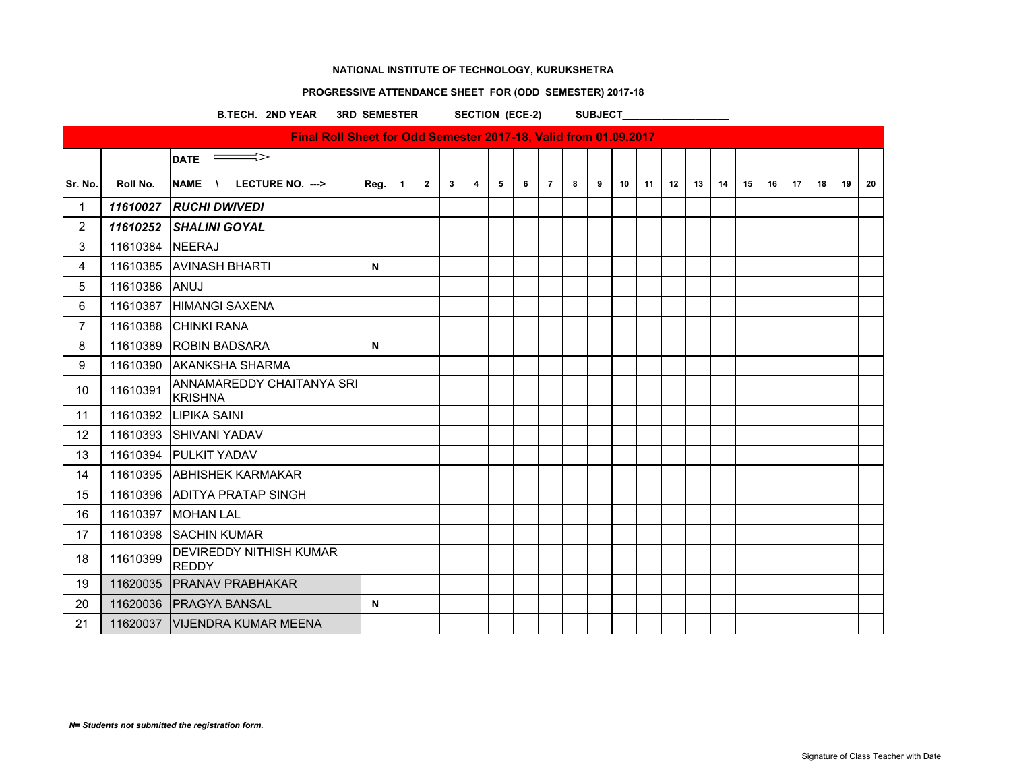### **PROGRESSIVE ATTENDANCE SHEET FOR (ODD SEMESTER) 2017-18**

B.TECH. 2ND YEAR 3RD SEMESTER SECTION (ECE-2) SUBJECT\_

 $\overline{\phantom{a}}$ DATE  $\overline{\phantom{a}}$ Sr. No. | Roll No. |NAME \ LECTURE NO. ---> | Reg. | 1 | 2 | 3 | 4 | 5 | 6 | 7 | 8 | 9 | 10 | 11 | 12 | 13 | 14 | 15 | 16 | 17 | 18 | 19 | 20 1 *11610027 RUCHI DWIVEDI* 2 *11610252 SHALINI GOYAL* 3 11610384 NEERAJ 4 11610385 AVINASH BHARTI **N** 5 11610386 ANUJ 6 11610387 HIMANGI SAXENA 7 11610388 CHINKI RANA 8 | 11610389 | ROBIN BADSARA **N** 9 11610390 AKANKSHA SHARMA 10 11610391 ANNAMAREDDY CHAITANYA SRI **KRISHNA** 11 11610392 LIPIKA SAINI 12 | 11610393 SHIVANI YADAV 13 11610394 PULKIT YADAV 14 11610395 ABHISHEK KARMAKAR 15 11610396 ADITYA PRATAP SINGH 16 11610397 MOHAN LAL 17 | 11610398 | SACHIN KUMAR 18 11610399 DEVIREDDY NITHISH KUMAR REDDY 19 11620035 PRANAV PRABHAKAR 20 11620036 PRAGYA BANSAL **N** 21 | 11620037 | VIJENDRA KUMAR MEENA **Final Roll Sheet for Odd Semester 2017-18, Valid from 01.09.2017**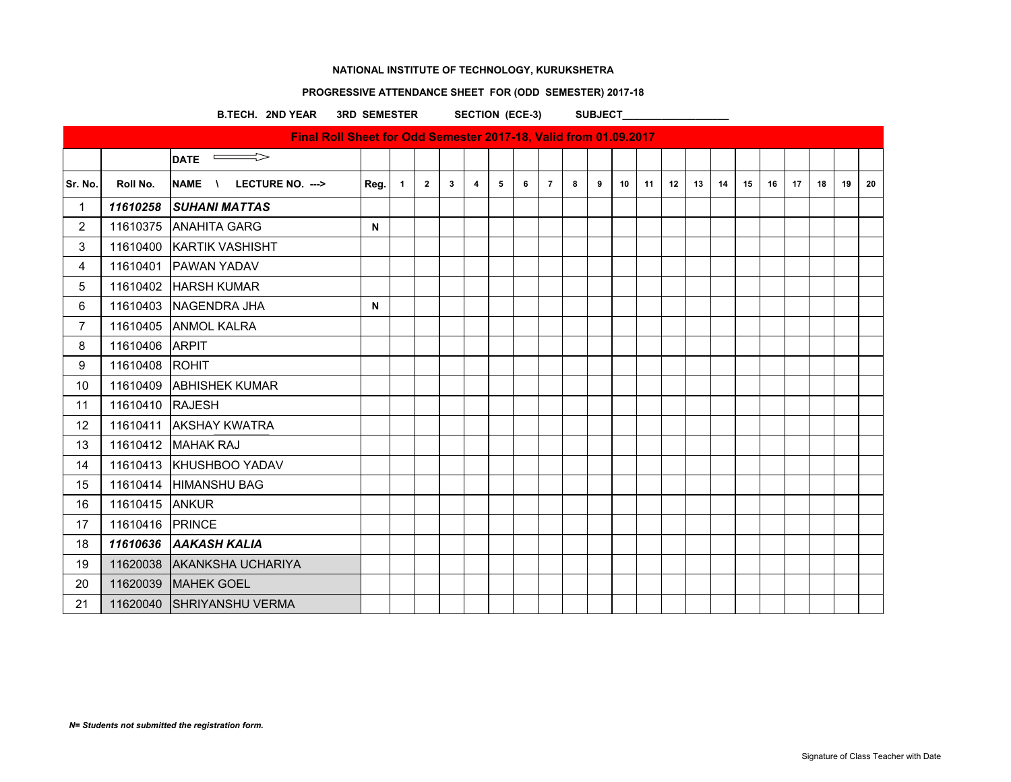# **PROGRESSIVE ATTENDANCE SHEET FOR (ODD SEMESTER) 2017-18**

B.TECH. 2ND YEAR 3RD SEMESTER SECTION (ECE-3) SUBJECT\_

|                |                 | Final Roll Sheet for Odd Semester 2017-18, Valid from 01.09.2017 |      |              |                |   |                         |   |   |                |   |   |    |    |    |    |    |    |    |    |    |    |    |
|----------------|-----------------|------------------------------------------------------------------|------|--------------|----------------|---|-------------------------|---|---|----------------|---|---|----|----|----|----|----|----|----|----|----|----|----|
|                |                 | $\implies$<br><b>DATE</b>                                        |      |              |                |   |                         |   |   |                |   |   |    |    |    |    |    |    |    |    |    |    |    |
| Sr. No.        | Roll No.        | NAME \<br>LECTURE NO. --->                                       | Reg. | $\mathbf{1}$ | $\overline{2}$ | 3 | $\overline{\mathbf{4}}$ | 5 | 6 | $\overline{7}$ | 8 | 9 | 10 | 11 | 12 | 13 | 14 | 15 | 16 | 17 | 18 | 19 | 20 |
| $\mathbf{1}$   |                 | 11610258 SUHANI MATTAS                                           |      |              |                |   |                         |   |   |                |   |   |    |    |    |    |    |    |    |    |    |    |    |
| $\overline{2}$ |                 | 11610375 ANAHITA GARG                                            | N    |              |                |   |                         |   |   |                |   |   |    |    |    |    |    |    |    |    |    |    |    |
| 3              |                 | 11610400 KARTIK VASHISHT                                         |      |              |                |   |                         |   |   |                |   |   |    |    |    |    |    |    |    |    |    |    |    |
| 4              |                 | 11610401 PAWAN YADAV                                             |      |              |                |   |                         |   |   |                |   |   |    |    |    |    |    |    |    |    |    |    |    |
| 5              |                 | 11610402 HARSH KUMAR                                             |      |              |                |   |                         |   |   |                |   |   |    |    |    |    |    |    |    |    |    |    |    |
| 6              |                 | 11610403 NAGENDRA JHA                                            | N    |              |                |   |                         |   |   |                |   |   |    |    |    |    |    |    |    |    |    |    |    |
| $\overline{7}$ |                 | 11610405 ANMOL KALRA                                             |      |              |                |   |                         |   |   |                |   |   |    |    |    |    |    |    |    |    |    |    |    |
| 8              | 11610406 ARPIT  |                                                                  |      |              |                |   |                         |   |   |                |   |   |    |    |    |    |    |    |    |    |    |    |    |
| 9              | 11610408 ROHIT  |                                                                  |      |              |                |   |                         |   |   |                |   |   |    |    |    |    |    |    |    |    |    |    |    |
| 10             |                 | 11610409 ABHISHEK KUMAR                                          |      |              |                |   |                         |   |   |                |   |   |    |    |    |    |    |    |    |    |    |    |    |
| 11             | 11610410 RAJESH |                                                                  |      |              |                |   |                         |   |   |                |   |   |    |    |    |    |    |    |    |    |    |    |    |
| 12             |                 | 11610411 AKSHAY KWATRA                                           |      |              |                |   |                         |   |   |                |   |   |    |    |    |    |    |    |    |    |    |    |    |
| 13             |                 | 11610412 MAHAK RAJ                                               |      |              |                |   |                         |   |   |                |   |   |    |    |    |    |    |    |    |    |    |    |    |
| 14             |                 | 11610413 KHUSHBOO YADAV                                          |      |              |                |   |                         |   |   |                |   |   |    |    |    |    |    |    |    |    |    |    |    |
| 15             |                 | 11610414 HIMANSHU BAG                                            |      |              |                |   |                         |   |   |                |   |   |    |    |    |    |    |    |    |    |    |    |    |
| 16             | 11610415 ANKUR  |                                                                  |      |              |                |   |                         |   |   |                |   |   |    |    |    |    |    |    |    |    |    |    |    |
| 17             | 11610416 PRINCE |                                                                  |      |              |                |   |                         |   |   |                |   |   |    |    |    |    |    |    |    |    |    |    |    |
| 18             |                 | 11610636 AAKASH KALIA                                            |      |              |                |   |                         |   |   |                |   |   |    |    |    |    |    |    |    |    |    |    |    |
| 19             |                 | 11620038 AKANKSHA UCHARIYA                                       |      |              |                |   |                         |   |   |                |   |   |    |    |    |    |    |    |    |    |    |    |    |
| 20             |                 | 11620039 MAHEK GOEL                                              |      |              |                |   |                         |   |   |                |   |   |    |    |    |    |    |    |    |    |    |    |    |
| 21             |                 | 11620040 SHRIYANSHU VERMA                                        |      |              |                |   |                         |   |   |                |   |   |    |    |    |    |    |    |    |    |    |    |    |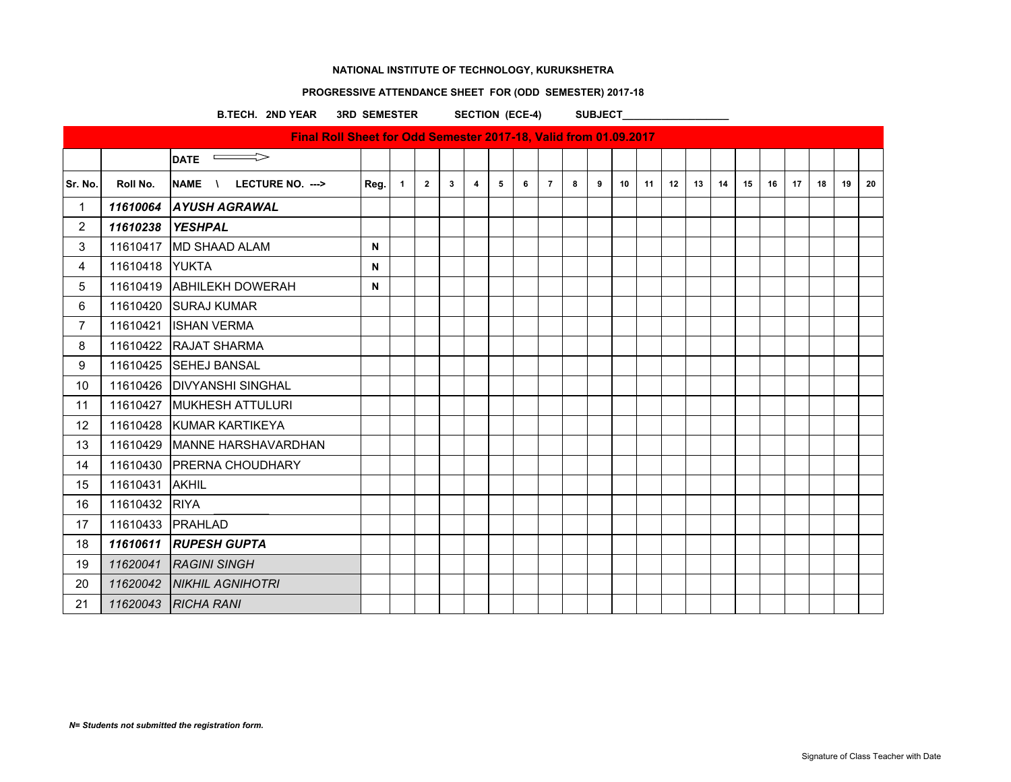# **PROGRESSIVE ATTENDANCE SHEET FOR (ODD SEMESTER) 2017-18**

B.TECH. 2ND YEAR 3RD SEMESTER SECTION (ECE-4) SUBJECT

|                 |                | Final Roll Sheet for Odd Semester 2017-18, Valid from 01.09.2017 |             |                |                |              |                         |                |   |                |   |   |    |    |    |    |    |    |    |    |    |    |    |
|-----------------|----------------|------------------------------------------------------------------|-------------|----------------|----------------|--------------|-------------------------|----------------|---|----------------|---|---|----|----|----|----|----|----|----|----|----|----|----|
|                 |                | $\qquad \qquad \Longrightarrow$<br><b>DATE</b>                   |             |                |                |              |                         |                |   |                |   |   |    |    |    |    |    |    |    |    |    |    |    |
| Sr. No.         | Roll No.       | NAME \<br>LECTURE NO. --->                                       | Reg.        | $\overline{1}$ | $\overline{2}$ | $\mathbf{3}$ | $\overline{\mathbf{4}}$ | 5 <sub>5</sub> | 6 | $\overline{7}$ | 8 | 9 | 10 | 11 | 12 | 13 | 14 | 15 | 16 | 17 | 18 | 19 | 20 |
| $\mathbf{1}$    |                | 11610064 AYUSH AGRAWAL                                           |             |                |                |              |                         |                |   |                |   |   |    |    |    |    |    |    |    |    |    |    |    |
| $\overline{2}$  |                | 11610238 YESHPAL                                                 |             |                |                |              |                         |                |   |                |   |   |    |    |    |    |    |    |    |    |    |    |    |
| 3               |                | 11610417 MD SHAAD ALAM                                           | $\mathbf N$ |                |                |              |                         |                |   |                |   |   |    |    |    |    |    |    |    |    |    |    |    |
| $\overline{4}$  | 11610418 YUKTA |                                                                  | N           |                |                |              |                         |                |   |                |   |   |    |    |    |    |    |    |    |    |    |    |    |
| 5               |                | 11610419 ABHILEKH DOWERAH                                        | $\mathbf N$ |                |                |              |                         |                |   |                |   |   |    |    |    |    |    |    |    |    |    |    |    |
| 6               |                | 11610420 SURAJ KUMAR                                             |             |                |                |              |                         |                |   |                |   |   |    |    |    |    |    |    |    |    |    |    |    |
| $\overline{7}$  |                | 11610421   ISHAN VERMA                                           |             |                |                |              |                         |                |   |                |   |   |    |    |    |    |    |    |    |    |    |    |    |
| 8               |                | 11610422 RAJAT SHARMA                                            |             |                |                |              |                         |                |   |                |   |   |    |    |    |    |    |    |    |    |    |    |    |
| 9               |                | 11610425 SEHEJ BANSAL                                            |             |                |                |              |                         |                |   |                |   |   |    |    |    |    |    |    |    |    |    |    |    |
| 10              |                | 11610426   DIVYANSHI SINGHAL                                     |             |                |                |              |                         |                |   |                |   |   |    |    |    |    |    |    |    |    |    |    |    |
| 11              |                | 11610427 MUKHESH ATTULURI                                        |             |                |                |              |                         |                |   |                |   |   |    |    |    |    |    |    |    |    |    |    |    |
| 12 <sup>2</sup> |                | 11610428 KUMAR KARTIKEYA                                         |             |                |                |              |                         |                |   |                |   |   |    |    |    |    |    |    |    |    |    |    |    |
| 13              |                | 11610429 MANNE HARSHAVARDHAN                                     |             |                |                |              |                         |                |   |                |   |   |    |    |    |    |    |    |    |    |    |    |    |
| 14              |                | 11610430 PRERNA CHOUDHARY                                        |             |                |                |              |                         |                |   |                |   |   |    |    |    |    |    |    |    |    |    |    |    |
| 15              | 11610431 AKHIL |                                                                  |             |                |                |              |                         |                |   |                |   |   |    |    |    |    |    |    |    |    |    |    |    |
| 16              | 11610432 RIYA  |                                                                  |             |                |                |              |                         |                |   |                |   |   |    |    |    |    |    |    |    |    |    |    |    |
| 17              |                | 11610433 PRAHLAD                                                 |             |                |                |              |                         |                |   |                |   |   |    |    |    |    |    |    |    |    |    |    |    |
| 18              |                | 11610611 RUPESH GUPTA                                            |             |                |                |              |                         |                |   |                |   |   |    |    |    |    |    |    |    |    |    |    |    |
| 19              |                | 11620041 RAGINI SINGH                                            |             |                |                |              |                         |                |   |                |   |   |    |    |    |    |    |    |    |    |    |    |    |
| 20              |                | 11620042 NIKHIL AGNIHOTRI                                        |             |                |                |              |                         |                |   |                |   |   |    |    |    |    |    |    |    |    |    |    |    |
| 21              |                | 11620043 RICHA RANI                                              |             |                |                |              |                         |                |   |                |   |   |    |    |    |    |    |    |    |    |    |    |    |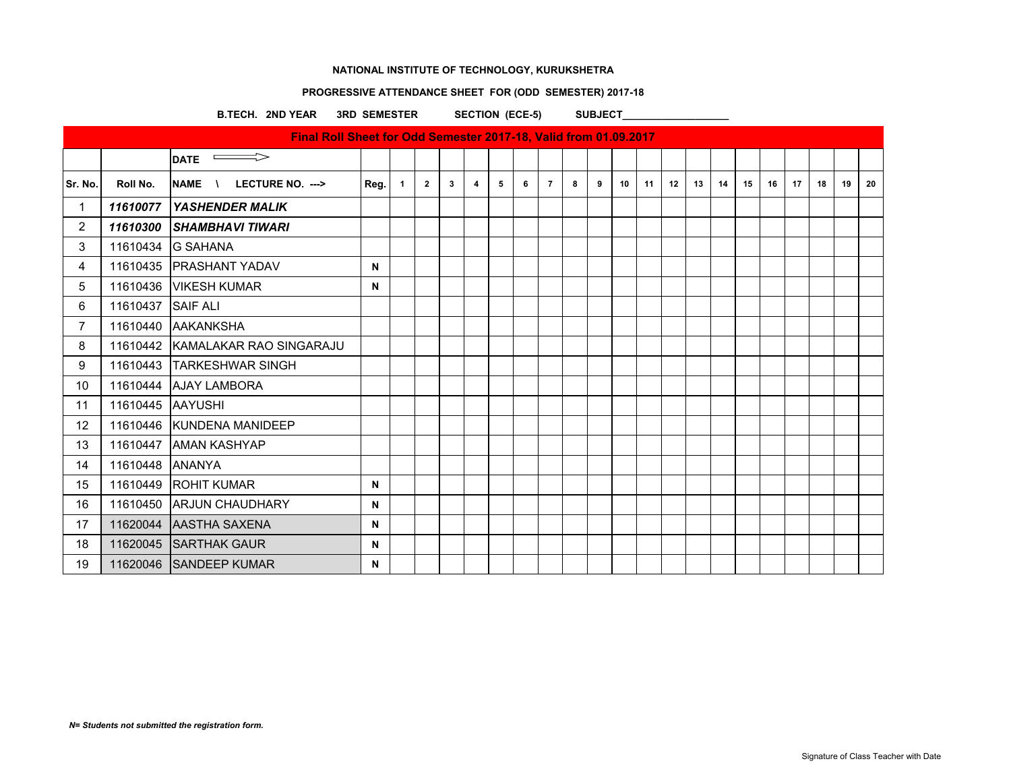# **PROGRESSIVE ATTENDANCE SHEET FOR (ODD SEMESTER) 2017-18**

B.TECH. 2ND YEAR 3RD SEMESTER SECTION (ECE-5) SUBJECT

|                   |                   | Final Roll Sheet for Odd Semester 2017-18, Valid from 01.09.2017 |      |                |                |   |   |   |   |                |   |   |    |    |    |    |    |    |    |    |    |    |    |
|-------------------|-------------------|------------------------------------------------------------------|------|----------------|----------------|---|---|---|---|----------------|---|---|----|----|----|----|----|----|----|----|----|----|----|
|                   |                   | DATE $\implies$                                                  |      |                |                |   |   |   |   |                |   |   |    |    |    |    |    |    |    |    |    |    |    |
| Sr. No.           | Roll No.          | <b>NAME</b><br>LECTURE NO. ---><br>$\lambda$                     | Reg. | $\overline{1}$ | $\overline{2}$ | 3 | 4 | 5 | 6 | $\overline{7}$ | 8 | 9 | 10 | 11 | 12 | 13 | 14 | 15 | 16 | 17 | 18 | 19 | 20 |
| $\mathbf 1$       | 11610077          | <b>YASHENDER MALIK</b>                                           |      |                |                |   |   |   |   |                |   |   |    |    |    |    |    |    |    |    |    |    |    |
| $\overline{2}$    | 11610300          | <b>SHAMBHAVI TIWARI</b>                                          |      |                |                |   |   |   |   |                |   |   |    |    |    |    |    |    |    |    |    |    |    |
| 3                 |                   | 11610434 G SAHANA                                                |      |                |                |   |   |   |   |                |   |   |    |    |    |    |    |    |    |    |    |    |    |
| $\overline{4}$    |                   | 11610435 PRASHANT YADAV                                          | N    |                |                |   |   |   |   |                |   |   |    |    |    |    |    |    |    |    |    |    |    |
| 5                 |                   | 11610436   VIKESH KUMAR                                          | N    |                |                |   |   |   |   |                |   |   |    |    |    |    |    |    |    |    |    |    |    |
| 6                 | 11610437 SAIF ALI |                                                                  |      |                |                |   |   |   |   |                |   |   |    |    |    |    |    |    |    |    |    |    |    |
| $\overline{7}$    |                   | 11610440 AAKANKSHA                                               |      |                |                |   |   |   |   |                |   |   |    |    |    |    |    |    |    |    |    |    |    |
| 8                 |                   | 11610442 KAMALAKAR RAO SINGARAJU                                 |      |                |                |   |   |   |   |                |   |   |    |    |    |    |    |    |    |    |    |    |    |
| 9                 |                   | 11610443 TARKESHWAR SINGH                                        |      |                |                |   |   |   |   |                |   |   |    |    |    |    |    |    |    |    |    |    |    |
| 10                |                   | 11610444 AJAY LAMBORA                                            |      |                |                |   |   |   |   |                |   |   |    |    |    |    |    |    |    |    |    |    |    |
| 11                | 11610445 AAYUSHI  |                                                                  |      |                |                |   |   |   |   |                |   |   |    |    |    |    |    |    |    |    |    |    |    |
| $12 \overline{ }$ |                   | 11610446 KUNDENA MANIDEEP                                        |      |                |                |   |   |   |   |                |   |   |    |    |    |    |    |    |    |    |    |    |    |
| 13                |                   | 11610447 AMAN KASHYAP                                            |      |                |                |   |   |   |   |                |   |   |    |    |    |    |    |    |    |    |    |    |    |
| 14                | 11610448 ANANYA   |                                                                  |      |                |                |   |   |   |   |                |   |   |    |    |    |    |    |    |    |    |    |    |    |
| 15                |                   | 11610449 ROHIT KUMAR                                             | N    |                |                |   |   |   |   |                |   |   |    |    |    |    |    |    |    |    |    |    |    |
| 16                |                   | 11610450 ARJUN CHAUDHARY                                         | N    |                |                |   |   |   |   |                |   |   |    |    |    |    |    |    |    |    |    |    |    |
| 17                |                   | 11620044 AASTHA SAXENA                                           | N    |                |                |   |   |   |   |                |   |   |    |    |    |    |    |    |    |    |    |    |    |
| 18                |                   | 11620045 SARTHAK GAUR                                            | N    |                |                |   |   |   |   |                |   |   |    |    |    |    |    |    |    |    |    |    |    |
| 19                |                   | 11620046 SANDEEP KUMAR                                           | N    |                |                |   |   |   |   |                |   |   |    |    |    |    |    |    |    |    |    |    |    |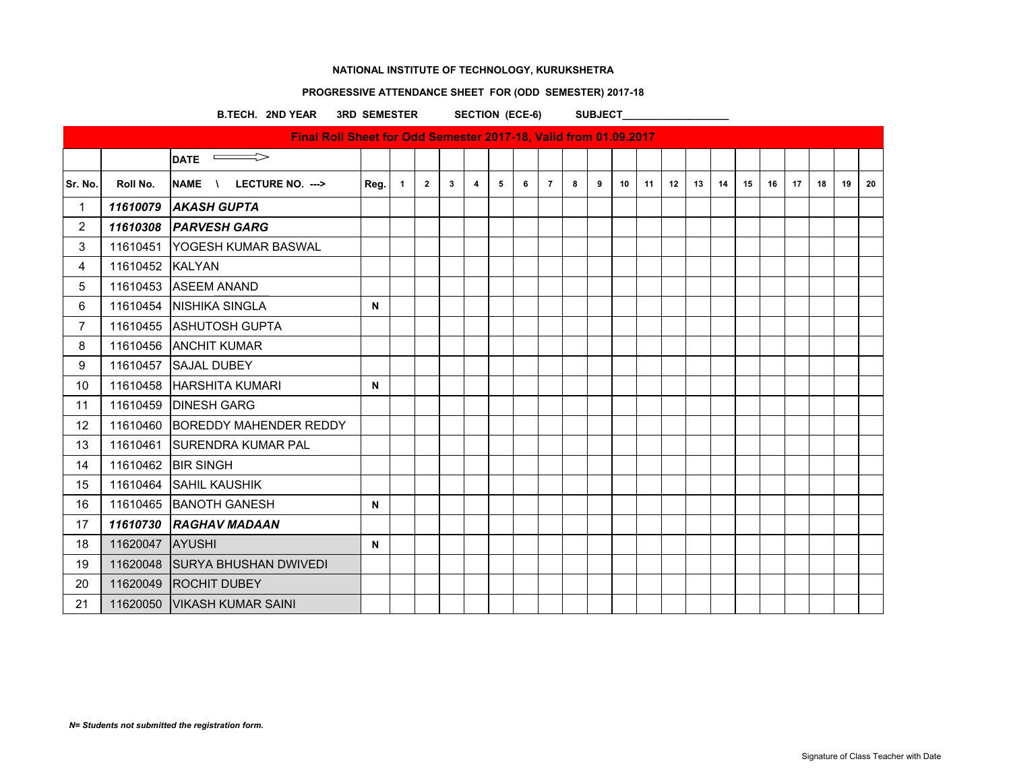# **PROGRESSIVE ATTENDANCE SHEET FOR (ODD SEMESTER) 2017-18**

B.TECH. 2ND YEAR 3RD SEMESTER SECTION (ECE-6) SUBJECT\_

|                |                 | Final Roll Sheet for Odd Semester 2017-18, Valid from 01.09.2017 |             |                |                |              |   |   |   |                |   |   |    |    |    |    |    |    |    |    |    |    |    |
|----------------|-----------------|------------------------------------------------------------------|-------------|----------------|----------------|--------------|---|---|---|----------------|---|---|----|----|----|----|----|----|----|----|----|----|----|
|                |                 | $\Rightarrow$<br><b>DATE</b>                                     |             |                |                |              |   |   |   |                |   |   |    |    |    |    |    |    |    |    |    |    |    |
| Sr. No.        | Roll No.        | NAME \<br>LECTURE NO. --->                                       | Reg.        | $\overline{1}$ | $\overline{2}$ | $\mathbf{3}$ | 4 | 5 | 6 | $\overline{7}$ | 8 | 9 | 10 | 11 | 12 | 13 | 14 | 15 | 16 | 17 | 18 | 19 | 20 |
| $\mathbf{1}$   | 11610079        | <b>AKASH GUPTA</b>                                               |             |                |                |              |   |   |   |                |   |   |    |    |    |    |    |    |    |    |    |    |    |
| $\overline{2}$ |                 | 11610308 PARVESH GARG                                            |             |                |                |              |   |   |   |                |   |   |    |    |    |    |    |    |    |    |    |    |    |
| 3              | 11610451        | <b>YOGESH KUMAR BASWAL</b>                                       |             |                |                |              |   |   |   |                |   |   |    |    |    |    |    |    |    |    |    |    |    |
| 4              | 11610452 KALYAN |                                                                  |             |                |                |              |   |   |   |                |   |   |    |    |    |    |    |    |    |    |    |    |    |
| 5              |                 | 11610453 ASEEM ANAND                                             |             |                |                |              |   |   |   |                |   |   |    |    |    |    |    |    |    |    |    |    |    |
| 6              |                 | 11610454 INISHIKA SINGLA                                         | N           |                |                |              |   |   |   |                |   |   |    |    |    |    |    |    |    |    |    |    |    |
| $\overline{7}$ |                 | 11610455 ASHUTOSH GUPTA                                          |             |                |                |              |   |   |   |                |   |   |    |    |    |    |    |    |    |    |    |    |    |
| 8              |                 | 11610456 ANCHIT KUMAR                                            |             |                |                |              |   |   |   |                |   |   |    |    |    |    |    |    |    |    |    |    |    |
| 9              |                 | 11610457 SAJAL DUBEY                                             |             |                |                |              |   |   |   |                |   |   |    |    |    |    |    |    |    |    |    |    |    |
| 10             |                 | 11610458 HARSHITA KUMARI                                         | N           |                |                |              |   |   |   |                |   |   |    |    |    |    |    |    |    |    |    |    |    |
| 11             |                 | 11610459 DINESH GARG                                             |             |                |                |              |   |   |   |                |   |   |    |    |    |    |    |    |    |    |    |    |    |
| 12             |                 | 11610460 BOREDDY MAHENDER REDDY                                  |             |                |                |              |   |   |   |                |   |   |    |    |    |    |    |    |    |    |    |    |    |
| 13             |                 | 11610461 SURENDRA KUMAR PAL                                      |             |                |                |              |   |   |   |                |   |   |    |    |    |    |    |    |    |    |    |    |    |
| 14             |                 | 11610462 BIR SINGH                                               |             |                |                |              |   |   |   |                |   |   |    |    |    |    |    |    |    |    |    |    |    |
| 15             |                 | 11610464 SAHIL KAUSHIK                                           |             |                |                |              |   |   |   |                |   |   |    |    |    |    |    |    |    |    |    |    |    |
| 16             |                 | 11610465 BANOTH GANESH                                           | $\mathbf N$ |                |                |              |   |   |   |                |   |   |    |    |    |    |    |    |    |    |    |    |    |
| 17             |                 | 11610730 RAGHAV MADAAN                                           |             |                |                |              |   |   |   |                |   |   |    |    |    |    |    |    |    |    |    |    |    |
| 18             | 11620047 AYUSHI |                                                                  | $\mathbf N$ |                |                |              |   |   |   |                |   |   |    |    |    |    |    |    |    |    |    |    |    |
| 19             |                 | 11620048 SURYA BHUSHAN DWIVEDI                                   |             |                |                |              |   |   |   |                |   |   |    |    |    |    |    |    |    |    |    |    |    |
| 20             |                 | 11620049 ROCHIT DUBEY                                            |             |                |                |              |   |   |   |                |   |   |    |    |    |    |    |    |    |    |    |    |    |
| 21             |                 | 11620050 VIKASH KUMAR SAINI                                      |             |                |                |              |   |   |   |                |   |   |    |    |    |    |    |    |    |    |    |    |    |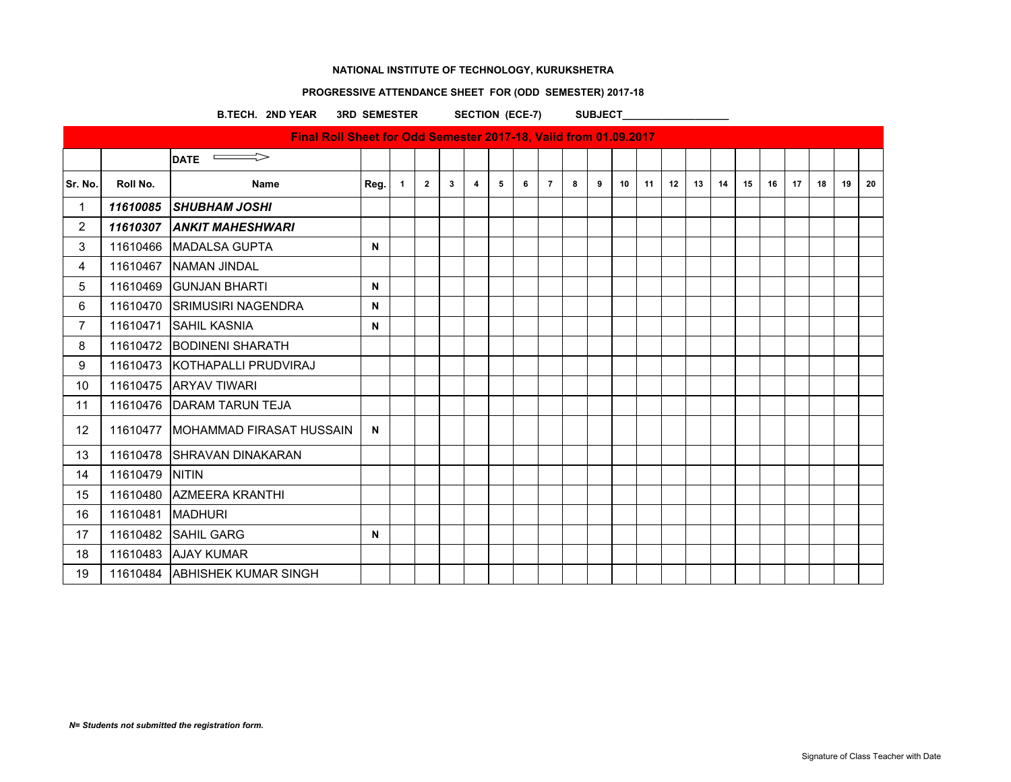# **PROGRESSIVE ATTENDANCE SHEET FOR (ODD SEMESTER) 2017-18**

B.TECH. 2ND YEAR 3RD SEMESTER SECTION (ECE-7) SUBJECT\_

|                |                    | Final Roll Sheet for Odd Semester 2017-18, Valid from 01.09.2017 |      |              |                |   |   |   |   |                |   |   |    |    |    |    |    |    |    |    |    |    |    |
|----------------|--------------------|------------------------------------------------------------------|------|--------------|----------------|---|---|---|---|----------------|---|---|----|----|----|----|----|----|----|----|----|----|----|
|                |                    | $\Rightarrow$<br><b>DATE</b>                                     |      |              |                |   |   |   |   |                |   |   |    |    |    |    |    |    |    |    |    |    |    |
| Sr. No.        | Roll No.           | <b>Name</b>                                                      | Reg. | $\mathbf{1}$ | $\overline{2}$ | 3 | 4 | 5 | 6 | $\overline{7}$ | 8 | 9 | 10 | 11 | 12 | 13 | 14 | 15 | 16 | 17 | 18 | 19 | 20 |
| $\mathbf{1}$   |                    | 11610085 SHUBHAM JOSHI                                           |      |              |                |   |   |   |   |                |   |   |    |    |    |    |    |    |    |    |    |    |    |
| $\overline{2}$ |                    | 11610307 ANKIT MAHESHWARI                                        |      |              |                |   |   |   |   |                |   |   |    |    |    |    |    |    |    |    |    |    |    |
| 3              |                    | 11610466   MADALSA GUPTA                                         | N    |              |                |   |   |   |   |                |   |   |    |    |    |    |    |    |    |    |    |    |    |
| 4              |                    | 11610467 NAMAN JINDAL                                            |      |              |                |   |   |   |   |                |   |   |    |    |    |    |    |    |    |    |    |    |    |
| 5              |                    | 11610469 GUNJAN BHARTI                                           | N    |              |                |   |   |   |   |                |   |   |    |    |    |    |    |    |    |    |    |    |    |
| 6              |                    | 11610470 SRIMUSIRI NAGENDRA                                      | N    |              |                |   |   |   |   |                |   |   |    |    |    |    |    |    |    |    |    |    |    |
| $\overline{7}$ |                    | 11610471 SAHIL KASNIA                                            | N    |              |                |   |   |   |   |                |   |   |    |    |    |    |    |    |    |    |    |    |    |
| 8              |                    | 11610472 BODINENI SHARATH                                        |      |              |                |   |   |   |   |                |   |   |    |    |    |    |    |    |    |    |    |    |    |
| 9              |                    | 11610473 KOTHAPALLI PRUDVIRAJ                                    |      |              |                |   |   |   |   |                |   |   |    |    |    |    |    |    |    |    |    |    |    |
| 10             |                    | 11610475 ARYAV TIWARI                                            |      |              |                |   |   |   |   |                |   |   |    |    |    |    |    |    |    |    |    |    |    |
| 11             |                    | 11610476   DARAM TARUN TEJA                                      |      |              |                |   |   |   |   |                |   |   |    |    |    |    |    |    |    |    |    |    |    |
| 12             |                    | 11610477 MOHAMMAD FIRASAT HUSSAIN                                | N    |              |                |   |   |   |   |                |   |   |    |    |    |    |    |    |    |    |    |    |    |
| 13             |                    | 11610478 SHRAVAN DINAKARAN                                       |      |              |                |   |   |   |   |                |   |   |    |    |    |    |    |    |    |    |    |    |    |
| 14             | 11610479           | <b>NITIN</b>                                                     |      |              |                |   |   |   |   |                |   |   |    |    |    |    |    |    |    |    |    |    |    |
| 15             |                    | 11610480 AZMEERA KRANTHI                                         |      |              |                |   |   |   |   |                |   |   |    |    |    |    |    |    |    |    |    |    |    |
| 16             | 11610481   MADHURI |                                                                  |      |              |                |   |   |   |   |                |   |   |    |    |    |    |    |    |    |    |    |    |    |
| 17             |                    | 11610482 SAHIL GARG                                              | N    |              |                |   |   |   |   |                |   |   |    |    |    |    |    |    |    |    |    |    |    |
| 18             |                    | 11610483 AJAY KUMAR                                              |      |              |                |   |   |   |   |                |   |   |    |    |    |    |    |    |    |    |    |    |    |
| 19             |                    | 11610484 ABHISHEK KUMAR SINGH                                    |      |              |                |   |   |   |   |                |   |   |    |    |    |    |    |    |    |    |    |    |    |